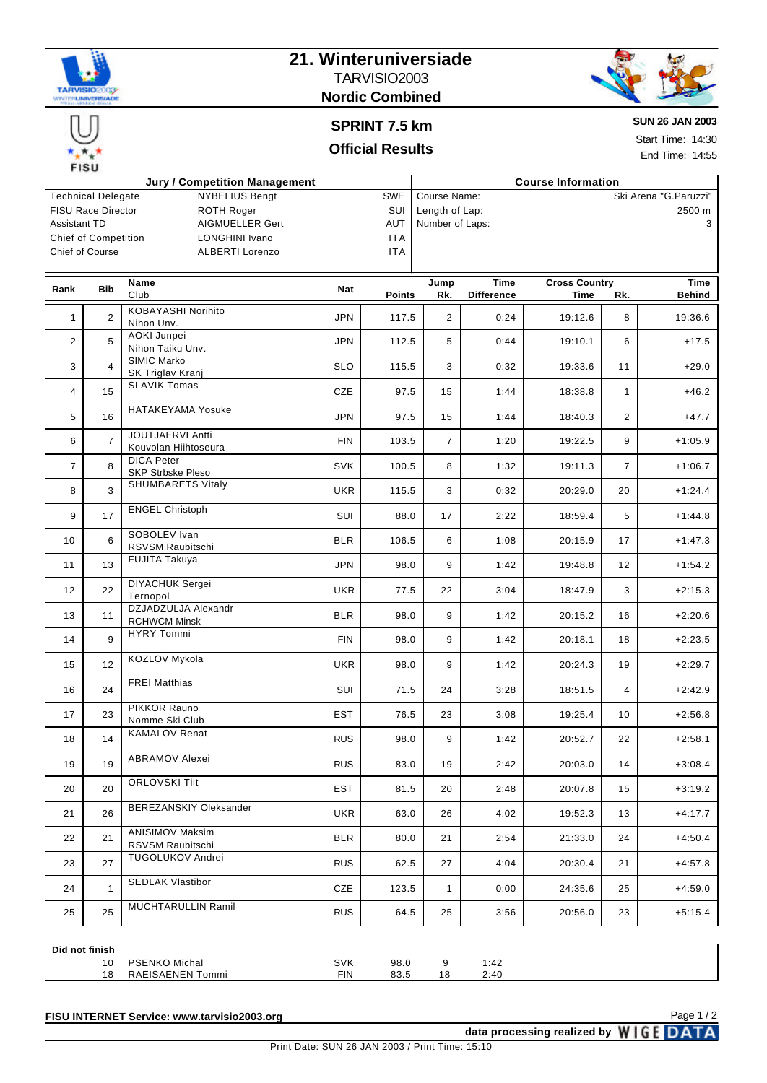

**EISH** 

## **21. Winteruniversiade** TARVISIO2003 **Nordic Combined**



# **SPRINT 7.5 km Official Results**

**SUN 26 JAN 2003**

Start Time: 14:30 End Time: 14:55

| <b>Jury / Competition Management</b><br><b>Course Information</b> |                                                |                                               |                                        |                 |                          |                   |                      |                |               |
|-------------------------------------------------------------------|------------------------------------------------|-----------------------------------------------|----------------------------------------|-----------------|--------------------------|-------------------|----------------------|----------------|---------------|
| <b>NYBELIUS Bengt</b><br><b>Technical Delegate</b><br><b>SWE</b>  |                                                |                                               | Course Name:<br>Ski Arena "G. Paruzzi" |                 |                          |                   |                      |                |               |
|                                                                   | <b>FISU Race Director</b><br><b>ROTH Roger</b> |                                               | SUI                                    |                 | Length of Lap:<br>2500 m |                   |                      |                |               |
| Assistant TD<br>AIGMUELLER Gert                                   |                                                |                                               | <b>AUT</b>                             | Number of Laps: |                          |                   |                      | 3              |               |
|                                                                   | <b>Chief of Competition</b>                    | <b>LONGHINI Ivano</b>                         |                                        | <b>ITA</b>      |                          |                   |                      |                |               |
|                                                                   | Chief of Course                                | <b>ALBERTI Lorenzo</b>                        |                                        | <b>ITA</b>      |                          |                   |                      |                |               |
|                                                                   |                                                |                                               |                                        |                 |                          |                   |                      |                |               |
|                                                                   | <b>Bib</b>                                     | Name                                          |                                        |                 | Jump                     | Time              | <b>Cross Country</b> |                | <b>Time</b>   |
| Rank                                                              |                                                | Club                                          | Nat                                    | <b>Points</b>   | Rk.                      | <b>Difference</b> | Time                 | Rk.            | <b>Behind</b> |
| $\mathbf{1}$                                                      | $\overline{2}$                                 | KOBAYASHI Norihito<br>Nihon Unv.              | <b>JPN</b>                             | 117.5           | $\overline{2}$           | 0:24              | 19:12.6              | 8              | 19:36.6       |
| $\overline{2}$                                                    | 5                                              | AOKI Junpei<br>Nihon Taiku Unv.               | <b>JPN</b>                             | 112.5           | 5                        | 0:44              | 19:10.1              | 6              | $+17.5$       |
| 3                                                                 | $\overline{4}$                                 | SIMIC Marko<br>SK Triglav Kranj               | <b>SLO</b>                             | 115.5           | 3                        | 0:32              | 19:33.6              | 11             | $+29.0$       |
| 4                                                                 | 15                                             | <b>SLAVIK Tomas</b>                           | CZE                                    | 97.5            | 15                       | 1:44              | 18:38.8              | $\mathbf{1}$   | $+46.2$       |
| 5                                                                 | 16                                             | <b>HATAKEYAMA Yosuke</b>                      | <b>JPN</b>                             | 97.5            | 15                       | 1:44              | 18:40.3              | $\overline{2}$ | $+47.7$       |
| 6                                                                 | $\overline{7}$                                 | JOUTJAERVI Antti<br>Kouvolan Hiihtoseura      | <b>FIN</b>                             | 103.5           | $\overline{7}$           | 1:20              | 19:22.5              | 9              | $+1:05.9$     |
| $\overline{7}$                                                    | 8                                              | <b>DICA Peter</b><br><b>SKP Strbske Pleso</b> | <b>SVK</b>                             | 100.5           | 8                        | 1:32              | 19:11.3              | $\overline{7}$ | $+1:06.7$     |
| 8                                                                 | 3                                              | <b>SHUMBARETS Vitaly</b>                      | <b>UKR</b>                             | 115.5           | 3                        | 0:32              | 20:29.0              | 20             | $+1:24.4$     |
| 9                                                                 | 17                                             | <b>ENGEL Christoph</b>                        | SUI                                    | 88.0            | 17                       | 2:22              | 18:59.4              | 5              | $+1:44.8$     |
| 10                                                                | 6                                              | SOBOLEV Ivan<br>RSVSM Raubitschi              | <b>BLR</b>                             | 106.5           | 6                        | 1:08              | 20:15.9              | 17             | $+1:47.3$     |
| 11                                                                | 13                                             | FUJITA Takuya                                 | <b>JPN</b>                             | 98.0            | 9                        | 1:42              | 19:48.8              | 12             | $+1:54.2$     |
| 12                                                                | 22                                             | <b>DIYACHUK Sergei</b><br>Ternopol            | <b>UKR</b>                             | 77.5            | 22                       | 3:04              | 18:47.9              | 3              | $+2:15.3$     |
| 13                                                                | 11                                             | DZJADZULJA Alexandr<br><b>RCHWCM Minsk</b>    | <b>BLR</b>                             | 98.0            | 9                        | 1:42              | 20:15.2              | 16             | $+2:20.6$     |
| 14                                                                | 9                                              | <b>HYRY Tommi</b>                             | <b>FIN</b>                             | 98.0            | 9                        | 1:42              | 20:18.1              | 18             | $+2:23.5$     |
| 15                                                                | 12                                             | KOZLOV Mykola                                 | <b>UKR</b>                             | 98.0            | 9                        | 1:42              | 20:24.3              | 19             | $+2:29.7$     |
| 16                                                                | 24                                             | <b>FREI Matthias</b>                          | SUI                                    | 71.5            | 24                       | 3:28              | 18:51.5              | 4              | $+2:42.9$     |
| 17                                                                | 23                                             | PIKKOR Rauno<br>Nomme Ski Club                | <b>EST</b>                             | 76.5            | 23                       | 3:08              | 19:25.4              | 10             | $+2:56.8$     |
| 18                                                                | 14                                             | <b>KAMALOV Renat</b>                          | <b>RUS</b>                             | 98.0            | 9                        | 1:42              | 20:52.7              | 22             | $+2:58.1$     |
| 19                                                                | 19                                             | <b>ABRAMOV Alexei</b>                         | <b>RUS</b>                             | 83.0            | 19                       | 2:42              | 20:03.0              | 14             | $+3:08.4$     |
| 20                                                                | 20                                             | <b>ORLOVSKI Tiit</b>                          | <b>EST</b>                             | 81.5            | 20                       | 2:48              | 20:07.8              | 15             | $+3:19.2$     |
| 21                                                                | 26                                             | BEREZANSKIY Oleksander                        | UKR                                    | 63.0            | 26                       | 4:02              | 19:52.3              | 13             | $+4:17.7$     |
| 22                                                                | 21                                             | <b>ANISIMOV Maksim</b><br>RSVSM Raubitschi    | <b>BLR</b>                             | 80.0            | 21                       | 2:54              | 21:33.0              | 24             | $+4:50.4$     |
| 23                                                                | 27                                             | <b>TUGOLUKOV Andrei</b>                       | <b>RUS</b>                             | 62.5            | 27                       | 4:04              | 20:30.4              | 21             | $+4:57.8$     |
| 24                                                                | $\mathbf{1}$                                   | <b>SEDLAK Vlastibor</b>                       | CZE                                    | 123.5           | $\mathbf{1}$             | 0:00              | 24:35.6              | 25             | $+4:59.0$     |
| 25                                                                | 25                                             | MUCHTARULLIN Ramil                            | <b>RUS</b>                             | 64.5            | 25                       | 3:56              | 20:56.0              | 23             | $+5:15.4$     |
|                                                                   |                                                |                                               |                                        |                 |                          |                   |                      |                |               |
| Did not finish                                                    |                                                |                                               |                                        |                 |                          |                   |                      |                |               |

| Michal<br><b>PSENKO</b><br>10                                                             | not finish<br>Did |            |      |      |
|-------------------------------------------------------------------------------------------|-------------------|------------|------|------|
|                                                                                           |                   | <b>SVK</b> | 98.0 | 1:42 |
| $F_N$<br><b>RAFISAENEN</b><br>18<br>oo r<br>2:40<br>18<br>Tommi<br>00.0<br>$\cdot$ $\sim$ |                   |            |      |      |

**FISU INTERNET Service: www.tarvisio2003.org**

data processing realized by **WIGE DATA**